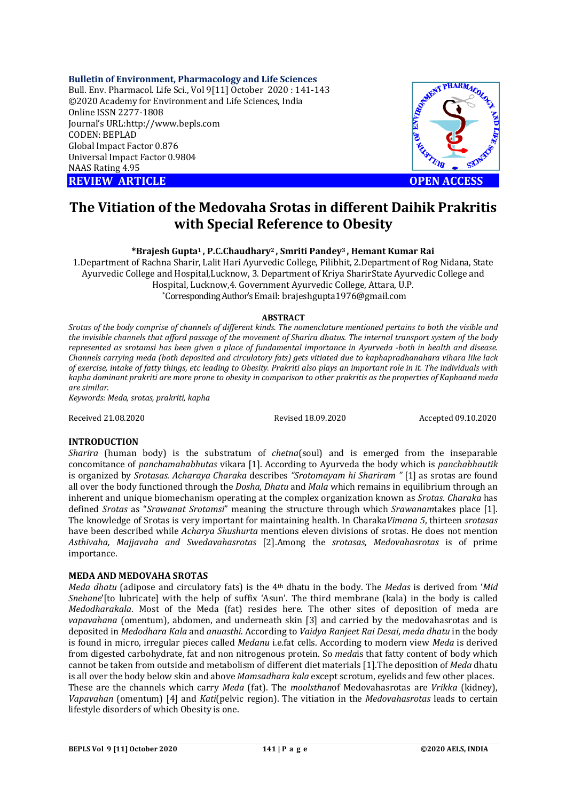## **Bulletin of Environment, Pharmacology and Life Sciences**

Bull. Env. Pharmacol. Life Sci., Vol 9[11] October 2020 : 141-143 ©2020 Academy for Environment and Life Sciences, India Online ISSN 2277-1808 Journal's URL:<http://www.bepls.com> CODEN: BEPLAD Global Impact Factor 0.876 Universal Impact Factor 0.9804 NAAS Rating 4.95 **REVIEW ARTICLE CONTROLLER CONTROLLER CONTROLLER CONTROLLER CONTROLLER CONTROLLER CONTROLLER CONTROLLER CONTROLLER CONTROLLER CONTROLLER CONTROLLER CONTROLLER CONTROLLER CONTROLLER CONTROLLER CONTROLLER CONTROLLER CONTROLL** 



# **The Vitiation of the Medovaha Srotas in different Daihik Prakritis with Special Reference to Obesity**

**\*Brajesh Gupta1 , P.C.Chaudhary2 , Smriti Pandey3 , Hemant Kumar Rai**

1.Department of Rachna Sharir, Lalit Hari Ayurvedic College, Pilibhit, 2.Department of Rog Nidana, State Ayurvedic College and Hospital,Lucknow, 3. Department of Kriya SharirState Ayurvedic College and Hospital, Lucknow,4. Government Ayurvedic College, Attara, U.P. \*Corresponding Author's Email: [brajeshgupta1976@gmail.com](mailto:brajeshgupta1976@gmail.com)

#### **ABSTRACT**

*Srotas of the body comprise of channels of different kinds. The nomenclature mentioned pertains to both the visible and the invisible channels that afford passage of the movement of Sharira dhatus. The internal transport system of the body represented as srotamsi has been given a place of fundamental importance in Ayurveda -both in health and disease. Channels carrying meda (both deposited and circulatory fats) gets vitiated due to kaphapradhanahara vihara like lack of exercise, intake of fatty things, etc leading to Obesity. Prakriti also plays an important role in it. The individuals with kapha dominant prakriti are more prone to obesity in comparison to other prakritis as the properties of Kaphaand meda are similar.* 

*Keywords: Meda, srotas, prakriti, kapha*

Received 21.08.2020 Revised 18.09.2020 Accepted 09.10.2020

## **INTRODUCTION**

*Sharira* (human body) is the substratum of *chetna*(soul) and is emerged from the inseparable concomitance of *panchamahabhutas* vikara [1]. According to Ayurveda the body which is *panchabhautik* is organized by *Srotasas*. *Acharaya Charaka* describes *"Srotomayam hi Shariram "* [1] as srotas are found all over the body functioned through the *Dosha*, *Dhatu* and *Mala* which remains in equilibrium through an inherent and unique biomechanism operating at the complex organization known as *Srotas*. *Charaka* has defined *Srotas* as "*Srawanat Srotamsi*" meaning the structure through which *Srawanam*takes place [1]. The knowledge of Srotas is very important for maintaining health. In Charaka*Vimana 5*, thirteen *srotasas* have been described while *Acharya Shushurta* mentions eleven divisions of srotas. He does not mention *Asthivaha, Majjavaha and Swedavahasrotas* [2].Among the *srotasas, Medovahasrotas* is of prime importance.

### **MEDA AND MEDOVAHA SROTAS**

*Meda dhatu* (adipose and circulatory fats) is the 4th dhatu in the body. The *Medas* is derived from '*Mid Snehane*'[to lubricate] with the help of suffix 'Asun'. The third membrane (kala) in the body is called *Medodharakala*. Most of the Meda (fat) resides here. The other sites of deposition of meda are *vapavahana* (omentum), abdomen, and underneath skin [3] and carried by the medovahasrotas and is deposited in *Medodhara Kala* and *anuasthi*. According to *Vaidya Ranjeet Rai Desai*, *meda dhatu* in the body is found in micro, irregular pieces called *Medanu* i.e.fat cells. According to modern view *Meda* is derived from digested carbohydrate, fat and non nitrogenous protein. So *meda*is that fatty content of body which cannot be taken from outside and metabolism of different diet materials [1].The deposition of *Meda* dhatu is all over the body below skin and above *Mamsadhara kala* except scrotum, eyelids and few other places. These are the channels which carry *Meda* (fat). The *moolsthan*of Medovahasrotas are *Vrikka* (kidney), *Vapavahan* (omentum) [4] and *Kati*(pelvic region). The vitiation in the *Medovahasrotas* leads to certain lifestyle disorders of which Obesity is one.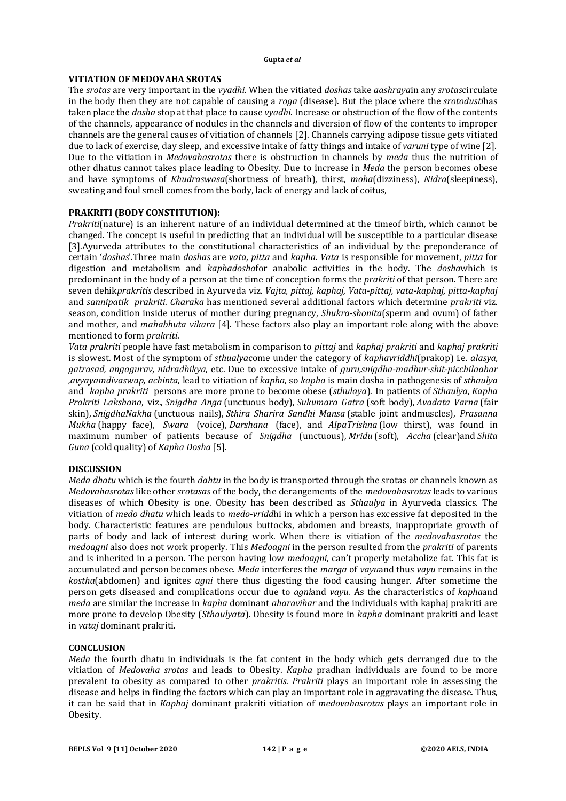#### **Gupta** *et al*

# **VITIATION OF MEDOVAHA SROTAS**

The *srotas* are very important in the *vyadhi*. When the vitiated *doshas* take *aashraya*in any *srotas*circulate in the body then they are not capable of causing a *roga* (disease). But the place where the *srotodusti*has taken place the *dosha* stop at that place to cause *vyadhi*. Increase or obstruction of the flow of the contents of the channels, appearance of nodules in the channels and diversion of flow of the contents to improper channels are the general causes of vitiation of channels [2]. Channels carrying adipose tissue gets vitiated due to lack of exercise, day sleep, and excessive intake of fatty things and intake of *varuni* type of wine [2]. Due to the vitiation in *Medovahasrotas* there is obstruction in channels by *meda* thus the nutrition of other dhatus cannot takes place leading to Obesity. Due to increase in *Meda* the person becomes obese and have symptoms of *Khudraswasa*(shortness of breath), thirst, *moha*(dizziness), *Nidra*(sleepiness), sweating and foul smell comes from the body, lack of energy and lack of coitus,

# **PRAKRITI (BODY CONSTITUTION):**

*Prakriti*(nature) is an inherent nature of an individual determined at the timeof birth, which cannot be changed. The concept is useful in predicting that an individual will be susceptible to a particular disease [3].Ayurveda attributes to the constitutional characteristics of an individual by the preponderance of certain '*doshas*'.Three main *doshas* are *vata, pitta* and *kapha. Vata* is responsible for movement, *pitta* for digestion and metabolism and *kaphadosha*for anabolic activities in the body. The *dosha*which is predominant in the body of a person at the time of conception forms the *prakriti* of that person. There are seven dehik*prakritis* described in Ayurveda viz*. Vajta, pittaj, kaphaj, Vata-pittaj, vata-kaphaj, pitta-kaphaj* and *sannipatik prakriti*. *Charaka* has mentioned several additional factors which determine *prakriti* viz. season, condition inside uterus of mother during pregnancy, *Shukra-shonita*(sperm and ovum) of father and mother, and *mahabhuta vikara* [4]. These factors also play an important role along with the above mentioned to form *prakriti*.

*Vata prakriti* people have fast metabolism in comparison to *pittaj* and *kaphaj prakriti* and *kaphaj prakriti* is slowest. Most of the symptom of *sthualya*come under the category of *kaphavriddhi*(prakop) i.e. *alasya, gatrasad, angagurav, nidradhikya*, etc. Due to excessive intake of *guru,snigdha-madhur-shit-picchilaahar ,avyayamdivaswap, achinta*, lead to vitiation of *kapha*, so *kapha* is main dosha in pathogenesis of *sthaulya* and *kapha prakriti* persons are more prone to become obese (*sthulaya*). In patients of *Sthaulya*, *Kapha Prakriti Lakshana*, viz., *Snigdha Anga* (unctuous body), *Sukumara Gatra* (soft body), *Avadata Varna* (fair skin), *SnigdhaNakha* (unctuous nails), *Sthira Sharira Sandhi Mansa* (stable joint andmuscles), *Prasanna Mukha* (happy face), *Swara* (voice), *Darshana* (face), and *AlpaTrishna* (low thirst), was found in maximum number of patients because of *Snigdha* (unctuous), *Mridu* (soft), *Accha* (clear)and *Shita Guna* (cold quality) of *Kapha Dosha* [5].

# **DISCUSSION**

*Meda dhatu* which is the fourth *dahtu* in the body is transported through the srotas or channels known as *Medovahasrotas* like other *srotasas* of the body, the derangements of the *medovahasrotas* leads to various diseases of which Obesity is one. Obesity has been described as *Sthaulya* in Ayurveda classics. The vitiation of *medo dhatu* which leads to *medo-vridd*hi in which a person has excessive fat deposited in the body. Characteristic features are pendulous buttocks, abdomen and breasts, inappropriate growth of parts of body and lack of interest during work. When there is vitiation of the *medovahasrotas* the *medoagni* also does not work properly. This *Medoagni* in the person resulted from the *prakriti* of parents and is inherited in a person. The person having low *medoagni*, can't properly metabolize fat. This fat is accumulated and person becomes obese*. Meda* interferes the *marga* of *vayu*and thus *vayu* remains in the *kostha*(abdomen) and ignites *agni* there thus digesting the food causing hunger. After sometime the person gets diseased and complications occur due to *agni*and *vayu*. As the characteristics of *kapha*and *meda* are similar the increase in *kapha* dominant *aharavihar* and the individuals with kaphaj prakriti are more prone to develop Obesity (*Sthaulyata*). Obesity is found more in *kapha* dominant prakriti and least in *vataj* dominant prakriti.

### **CONCLUSION**

*Meda* the fourth dhatu in individuals is the fat content in the body which gets derranged due to the vitiation of *Medovaha srotas* and leads to Obesity. *Kapha* pradhan individuals are found to be more prevalent to obesity as compared to other *prakritis*. *Prakriti* plays an important role in assessing the disease and helps in finding the factors which can play an important role in aggravating the disease. Thus, it can be said that in *Kaphaj* dominant prakriti vitiation of *medovahasrotas* plays an important role in Obesity.